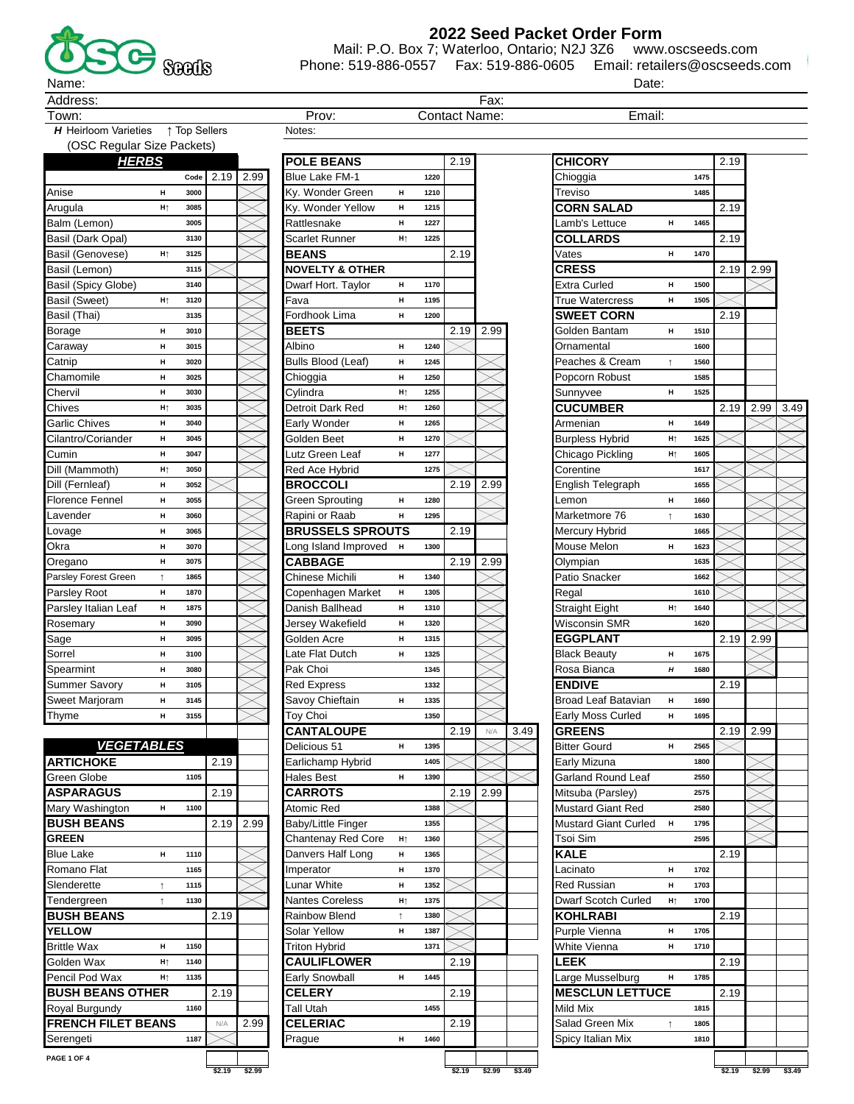

2022 Seed Packet Order Form<br>7; Waterloo, Ontario; N2J 3Z6 www.oscseeds.com Mail: P.O. Box 7; Waterloo, Ontario; N2J 3Z6 Phone: 519-886-0557 Fax: 519-886-0605 Email: retailers@oscseeds.com

Address: Fax:

| (OSC Regular Size Packets) |                |      |      |      |
|----------------------------|----------------|------|------|------|
| HERBS                      |                |      |      |      |
|                            |                | Code | 2.19 | 2.99 |
| Anise                      | н              | 3000 |      |      |
| Arugula                    | H <sub>†</sub> | 3085 |      |      |
| Balm (Lemon)               |                | 3005 |      |      |
| Basil (Dark Opal)          |                | 3130 |      |      |
| Basil (Genovese)           | H↑             | 3125 |      |      |
| Basil (Lemon)              |                | 3115 |      |      |
| Basil (Spicy Globe)        |                | 3140 |      |      |
| Basil (Sweet)              | H <sub>Ť</sub> | 3120 |      |      |
| Basil (Thai)               |                | 3135 |      |      |
| Borage                     | н              | 3010 |      |      |
| Caraway                    | н              | 3015 |      |      |
| Catnip                     | н              | 3020 |      |      |
| Chamomile                  | н              | 3025 |      |      |
| Chervil                    | н              | 3030 |      |      |
| Chives                     | H <sub>†</sub> | 3035 |      |      |
| <b>Garlic Chives</b>       | н              | 3040 |      |      |
| Cilantro/Coriander         | н              | 3045 |      |      |
| Cumin                      | н              | 3047 |      |      |
| Dill (Mammoth)             | H              | 3050 |      |      |
| Dill (Fernleaf)            | н              | 3052 |      |      |
| Florence Fennel            | н              | 3055 |      |      |
| Lavender                   | Н              | 3060 |      |      |
|                            | н              |      |      |      |
| Lovage                     |                | 3065 |      |      |
| Okra                       | н              | 3070 |      |      |
| Oregano                    | H              | 3075 |      |      |
| Parsley Forest Green       | î              | 1865 |      |      |
| Parsley Root               | н              | 1870 |      |      |
| Parsley Italian Leaf       | н              | 1875 |      |      |
| Rosemary                   | н              | 3090 |      |      |
| Sage                       | н              | 3095 |      |      |
| Sorrel                     | н              | 3100 |      |      |
| Spearmint                  | н              | 3080 |      |      |
| Summer Savory              | н              | 3105 |      |      |
| Sweet Marjoram             | н              | 3145 |      |      |
| Thyme                      | н              | 3155 |      |      |
|                            |                |      |      |      |
| <i><b>VEGETABL</b></i>     |                |      |      |      |
| <b>ARTICHOKE</b>           |                |      | 2.19 |      |
| Green Globe                |                | 1105 |      |      |
| <b>ASPARAGUS</b>           |                |      | 2.19 |      |
| Mary Washington            | н              | 1100 |      |      |
| <b>BUSH BEANS</b>          |                |      | 2.19 | 2.99 |
| <b>GREEN</b>               |                |      |      |      |
| <b>Blue Lake</b>           | н              | 1110 |      |      |
| Romano Flat                |                | 1165 |      |      |
| Slenderette                | Ť              | 1115 |      |      |
| Tendergreen                | Ť              | 1130 |      |      |
| <b>BUSH BEANS</b>          |                |      | 2.19 |      |
| <b>YELLOW</b>              |                |      |      |      |
| <b>Brittle Wax</b>         | н              | 1150 |      |      |
| Golden Wax                 | H <sub>Ť</sub> | 1140 |      |      |
| Pencil Pod Wax             | Hţ             | 1135 |      |      |
| <b>BUSH BEANS OTHER</b>    |                |      | 2.19 |      |
| Royal Burgundy             |                | 1160 |      |      |
| <b>FRENCH FILET BEANS</b>  |                |      |      |      |
|                            |                |      | N/A  | 2.99 |
| Serengeti                  |                | 1187 |      |      |
| PAGE 1 OF 4                |                |      |      |      |

| Town:                                     |                |               |      |      | Prov:                      |                |      | <b>Contact Name:</b> |      |      | Email:                      |                |      |           |      |
|-------------------------------------------|----------------|---------------|------|------|----------------------------|----------------|------|----------------------|------|------|-----------------------------|----------------|------|-----------|------|
| H Heirloom Varieties                      |                | ↑ Top Sellers |      |      | Notes:                     |                |      |                      |      |      |                             |                |      |           |      |
| (OSC Regular Size Packets)                |                |               |      |      |                            |                |      |                      |      |      |                             |                |      |           |      |
| <b>HERBS</b>                              |                |               |      |      | <b>POLE BEANS</b>          |                |      | 2.19                 |      |      | <b>CHICORY</b>              |                |      | 2.19      |      |
|                                           |                | Code          | 2.19 | 2.99 | <b>Blue Lake FM-1</b>      |                | 1220 |                      |      |      | Chioggia                    |                | 1475 |           |      |
| Anise                                     | н              | 3000          |      |      | Ky. Wonder Green           | н              | 1210 |                      |      |      | Treviso                     |                | 1485 |           |      |
| Arugula                                   | H <sub>Ť</sub> | 3085          |      |      | Ky. Wonder Yellow          | н              | 1215 |                      |      |      | <b>CORN SALAD</b>           |                |      | 2.19      |      |
| Balm (Lemon)                              |                | 3005          |      |      | Rattlesnake                | н              | 1227 |                      |      |      | Lamb's Lettuce              | н              | 1465 |           |      |
| Basil (Dark Opal)                         |                | 3130          |      |      | Scarlet Runner             | Ht             | 1225 |                      |      |      | <b>COLLARDS</b>             |                |      | 2.19      |      |
| Basil (Genovese)                          | H <sub>Ť</sub> | 3125          |      |      | <b>BEANS</b>               |                |      | 2.19                 |      |      | Vates                       | н              | 1470 |           |      |
| Basil (Lemon)                             |                | 3115          |      |      | <b>NOVELTY &amp; OTHER</b> |                |      |                      |      |      | <b>CRESS</b>                |                |      | 2.19      | 2.99 |
| Basil (Spicy Globe)                       |                | 3140          |      |      | Dwarf Hort. Taylor         | н              | 1170 |                      |      |      | Extra Curled                | н              | 1500 |           |      |
| Basil (Sweet)                             | H <sub>Ť</sub> | 3120          |      |      | Fava                       | н              | 1195 |                      |      |      | <b>True Watercress</b>      | н              | 1505 |           |      |
| Basil (Thai)                              |                | 3135          |      |      | Fordhook Lima              | H              | 1200 |                      |      |      | <b>SWEET CORN</b>           |                |      | 2.19      |      |
| Borage                                    | н              | 3010          |      |      | <b>BEETS</b>               |                |      | 2.19                 | 2.99 |      | Golden Bantam               | н              | 1510 |           |      |
| Caraway                                   | н              | 3015          |      |      | Albino                     | H              | 1240 |                      |      |      | Ornamental                  |                | 1600 |           |      |
| Catnip                                    | н              | 3020          |      |      | <b>Bulls Blood (Leaf)</b>  | н              | 1245 |                      |      |      | Peaches & Cream             | $\uparrow$     | 1560 |           |      |
| Chamomile                                 | н              | 3025          |      |      | Chioggia                   | н              | 1250 |                      |      |      | Popcorn Robust              |                | 1585 |           |      |
| Chervil                                   | н              | 3030          |      |      | Cylindra                   | H <sub>1</sub> | 1255 |                      |      |      | Sunnyvee                    | н              | 1525 |           |      |
| Chives                                    | H <sub>†</sub> | 3035          |      |      | Detroit Dark Red           | H              | 1260 |                      |      |      | <b>CUCUMBER</b>             |                |      | 2.19      | 2.99 |
| <b>Garlic Chives</b>                      | н              | 3040          |      |      | Early Wonder               | н              | 1265 |                      |      |      | Armenian                    | н              | 1649 |           |      |
| Cilantro/Coriander                        | н              | 3045          |      |      | Golden Beet                | н              | 1270 |                      |      |      | <b>Burpless Hybrid</b>      | H <sub>1</sub> | 1625 |           |      |
| Cumin                                     | н              | 3047          |      |      | Lutz Green Leaf            | н              | 1277 |                      |      |      | Chicago Pickling            | H <sub>1</sub> | 1605 |           |      |
| Dill (Mammoth)                            | H <sub>†</sub> | 3050          |      |      | Red Ace Hybrid             |                | 1275 |                      |      |      | Corentine                   |                | 1617 |           |      |
|                                           | н              | 3052          |      |      | <b>BROCCOLI</b>            |                |      | 2.19                 | 2.99 |      |                             |                | 1655 |           |      |
| Dill (Fernleaf)<br><b>Florence Fennel</b> | н              | 3055          |      |      | Green Sprouting            | н              | 1280 |                      |      |      | English Telegraph<br>Lemon  | н              | 1660 |           |      |
|                                           |                |               |      |      |                            |                | 1295 |                      |      |      |                             |                |      |           |      |
| Lavender                                  | н              | 3060          |      |      | Rapini or Raab             | н              |      | 2.19                 |      |      | Marketmore 76               | $\uparrow$     | 1630 |           |      |
| Lovage                                    | н              | 3065          |      |      | <b>BRUSSELS SPROUTS</b>    |                |      |                      |      |      | <b>Mercury Hybrid</b>       |                | 1665 |           |      |
| Okra                                      | н              | 3070          |      |      | Long Island Improved       | н              | 1300 |                      |      |      | <b>Mouse Melon</b>          | н              | 1623 |           |      |
| Oregano                                   | н              | 3075          |      |      | <b>CABBAGE</b>             |                |      | 2.19                 | 2.99 |      | Olympian                    |                | 1635 |           |      |
| Parsley Forest Green                      | $\uparrow$     | 1865          |      |      | Chinese Michili            | н              | 1340 |                      |      |      | Patio Snacker               |                | 1662 |           |      |
| Parsley Root                              | н              | 1870          |      |      | Copenhagen Market          | н              | 1305 |                      |      |      | Regal                       |                | 1610 |           |      |
| Parsley Italian Leaf                      | н              | 1875          |      |      | Danish Ballhead            | н              | 1310 |                      |      |      | Straight Eight              | H <sub>Ť</sub> | 1640 |           |      |
| Rosemary                                  | н              | 3090          |      |      | Jersey Wakefield           | н              | 1320 |                      |      |      | Wisconsin SMR               |                | 1620 |           |      |
| Sage                                      | н              | 3095          |      |      | Golden Acre                | н              | 1315 |                      |      |      | <b>EGGPLANT</b>             |                |      | 2.19      | 2.99 |
| Sorrel                                    | н              | 3100          |      |      | Late Flat Dutch            | н              | 1325 |                      |      |      | <b>Black Beauty</b>         | н              | 1675 |           |      |
| Spearmint                                 | н              | 3080          |      |      | Pak Choi                   |                | 1345 |                      |      |      | Rosa Bianca                 | н              | 1680 |           |      |
| <b>Summer Savory</b>                      | н              | 3105          |      |      | <b>Red Express</b>         |                | 1332 |                      |      |      | <b>ENDIVE</b>               |                |      | 2.19      |      |
| Sweet Marjoram                            | н              | 3145          |      |      | Savoy Chieftain            | н              | 1335 |                      |      |      | <b>Broad Leaf Batavian</b>  | н              | 1690 |           |      |
| Thyme                                     | н              | 3155          |      |      | Toy Choi                   |                | 1350 |                      |      |      | Early Moss Curled           | н              | 1695 |           |      |
|                                           |                |               |      |      | <b>CANTALOUPE</b>          |                |      | 2.19                 | N/A  | 3.49 | <b>GREENS</b>               |                |      | 2.19 2.99 |      |
| <b>VEGETABLES</b>                         |                |               |      |      | Delicious 51               | н              | 1395 |                      |      |      | <b>Bitter Gourd</b>         | н              | 2565 |           |      |
| <b>ARTICHOKE</b>                          |                |               | 2.19 |      | Earlichamp Hybrid          |                | 1405 |                      |      |      | Early Mizuna                |                | 1800 |           |      |
| Green Globe                               |                | 1105          |      |      | Hales Best                 | н              | 1390 |                      |      |      | <b>Garland Round Leaf</b>   |                | 2550 |           |      |
| <b>ASPARAGUS</b>                          |                |               | 2.19 |      | <b>CARROTS</b>             |                |      | 2.19                 | 2.99 |      | Mitsuba (Parsley)           |                | 2575 |           |      |
| Mary Washington                           | н              | 1100          |      |      | Atomic Red                 |                | 1388 |                      |      |      | <b>Mustard Giant Red</b>    |                | 2580 |           |      |
| <b>BUSH BEANS</b>                         |                |               | 2.19 | 2.99 | Baby/Little Finger         |                | 1355 |                      |      |      | <b>Mustard Giant Curled</b> | н              | 1795 |           |      |
| <b>GREEN</b>                              |                |               |      |      | <b>Chantenay Red Core</b>  | H <sub>Ť</sub> | 1360 |                      |      |      | Tsoi Sim                    |                | 2595 |           |      |
| <b>Blue Lake</b>                          | н              | 1110          |      |      | Danvers Half Long          | н              | 1365 |                      |      |      | <b>KALE</b>                 |                |      | 2.19      |      |
| Romano Flat                               |                | 1165          |      |      | Imperator                  | н              | 1370 |                      |      |      | Lacinato                    | н              | 1702 |           |      |
| Slenderette                               |                | 1115          |      |      | Lunar White                | н              | 1352 |                      |      |      | <b>Red Russian</b>          | н              | 1703 |           |      |
| Tendergreen                               |                | 1130          |      |      | <b>Nantes Coreless</b>     | Hţ             | 1375 |                      |      |      | Dwarf Scotch Curled         | H              | 1700 |           |      |
| <b>BUSH BEANS</b>                         |                |               | 2.19 |      | Rainbow Blend              | $\uparrow$     | 1380 |                      |      |      | <b>KOHLRABI</b>             |                |      | 2.19      |      |
| <b>YELLOW</b>                             |                |               |      |      | Solar Yellow               | н              | 1387 |                      |      |      | Purple Vienna               | н              | 1705 |           |      |
| <b>Brittle Wax</b>                        | н              | 1150          |      |      | Triton Hybrid              |                | 1371 |                      |      |      | White Vienna                | н              | 1710 |           |      |
| Golden Wax                                | H <sub>Ť</sub> | 1140          |      |      | <b>CAULIFLOWER</b>         |                |      | 2.19                 |      |      | LEEK                        |                |      | 2.19      |      |
| Pencil Pod Wax                            | H <sub>Ť</sub> | 1135          |      |      | Early Snowball             | н              | 1445 |                      |      |      | Large Musselburg            | н              | 1785 |           |      |
| <b>BUSH BEANS OTHER</b>                   |                |               | 2.19 |      | <b>CELERY</b>              |                |      | 2.19                 |      |      | <b>MESCLUN LETTUCE</b>      |                |      | 2.19      |      |
| Royal Burgundy                            |                | 1160          |      |      | Tall Utah                  |                | 1455 |                      |      |      | <b>Mild Mix</b>             |                | 1815 |           |      |
| <b>FRENCH FILET BEANS</b>                 |                |               | N/A  | 2.99 | <b>CELERIAC</b>            |                |      | 2.19                 |      |      | Salad Green Mix             | $\uparrow$     | 1805 |           |      |
| Serengeti                                 |                | 1187          |      |      | Prague                     | н              | 1460 |                      |      |      | Spicy Italian Mix           |                | 1810 |           |      |
|                                           |                |               |      |      |                            |                |      |                      |      |      |                             |                |      |           |      |
| PAGE 1 OF 4                               |                |               |      |      |                            |                |      |                      |      |      |                             |                |      |           |      |

| <b><i>H</i></b> Hellicolli valieties T top Sellers<br>(OSC Regular Size Packets) |                                      |      |      |                | <b>NOTES:</b>              |            |      |      |                         |      |                        |                |      |      |                         |      |
|----------------------------------------------------------------------------------|--------------------------------------|------|------|----------------|----------------------------|------------|------|------|-------------------------|------|------------------------|----------------|------|------|-------------------------|------|
| <b>HERBS</b>                                                                     |                                      |      |      |                | <b>POLE BEANS</b>          |            |      | 2.19 |                         |      | <b>CHICORY</b>         |                |      | 2.19 |                         |      |
|                                                                                  |                                      | Code |      | 2.19 2.99      | <b>Blue Lake FM-1</b>      |            | 1220 |      |                         |      | Chioggia               |                | 1475 |      |                         |      |
| Anise                                                                            | н                                    | 3000 |      |                | Ky. Wonder Green           | н          | 1210 |      |                         |      | Treviso                |                | 1485 |      |                         |      |
| Arugula                                                                          | H <sub>Ť</sub>                       | 3085 |      |                | Ky. Wonder Yellow          | н          | 1215 |      |                         |      | <b>CORN SALAD</b>      |                |      | 2.19 |                         |      |
| Balm (Lemon)                                                                     |                                      | 3005 |      |                | Rattlesnake                | н          | 1227 |      |                         |      | Lamb's Lettuce         | н              | 1465 |      |                         |      |
| Basil (Dark Opal)                                                                |                                      | 3130 |      |                | Scarlet Runner             | H          | 1225 |      |                         |      | <b>COLLARDS</b>        |                |      | 2.19 |                         |      |
| Basil (Genovese)                                                                 | $H$ <sup><math>\uparrow</math></sup> | 3125 |      |                | <b>BEANS</b>               |            |      | 2.19 |                         |      | Vates                  | н              | 1470 |      |                         |      |
| Basil (Lemon)                                                                    |                                      | 3115 |      |                | <b>NOVELTY &amp; OTHER</b> |            |      |      |                         |      | <b>CRESS</b>           |                |      | 2.19 | 2.99                    |      |
| Basil (Spicy Globe)                                                              |                                      | 3140 |      |                | Dwarf Hort. Taylor         | н          | 1170 |      |                         |      | Extra Curled           | н              | 1500 |      |                         |      |
| Basil (Sweet)                                                                    | $H$ <sup><math>\uparrow</math></sup> | 3120 |      |                | Fava                       | н          | 1195 |      |                         |      | <b>True Watercress</b> | н              | 1505 |      |                         |      |
| Basil (Thai)                                                                     |                                      | 3135 |      |                | Fordhook Lima              | н          | 1200 |      |                         |      | <b>SWEET CORN</b>      |                |      | 2.19 |                         |      |
| Borage                                                                           | н                                    | 3010 |      |                | <b>BEETS</b>               |            |      | 2.19 | 2.99                    |      | Golden Bantam          | н              | 1510 |      |                         |      |
| Caraway                                                                          | н                                    | 3015 |      |                | Albino                     | н          | 1240 |      |                         |      | Ornamental             |                | 1600 |      |                         |      |
|                                                                                  | н                                    | 3020 |      |                | Bulls Blood (Leaf)         | н          | 1245 |      |                         |      | Peaches & Cream        |                | 1560 |      |                         |      |
| Catnip                                                                           |                                      |      |      |                |                            |            |      |      |                         |      |                        | $\uparrow$     |      |      |                         |      |
| Chamomile                                                                        | н                                    | 3025 |      |                | Chioggia                   | н          | 1250 |      |                         |      | Popcorn Robust         |                | 1585 |      |                         |      |
| Chervil                                                                          | н                                    | 3030 |      |                | Cylindra                   | H          | 1255 |      |                         |      | Sunnyvee               | н              | 1525 |      |                         |      |
| Chives                                                                           | H <sub>Ť</sub>                       | 3035 |      |                | Detroit Dark Red           | H          | 1260 |      |                         |      | <b>CUCUMBER</b>        |                |      | 2.19 | 2.99                    | 3.49 |
| Garlic Chives                                                                    | н                                    | 3040 |      |                | Early Wonder               | н          | 1265 |      |                         |      | Armenian               | н              | 1649 |      |                         |      |
| Cilantro/Coriander                                                               | н                                    | 3045 |      |                | Golden Beet                | н          | 1270 |      |                         |      | Burpless Hybrid        | H              | 1625 |      |                         |      |
| Cumin                                                                            | н                                    | 3047 |      |                | Lutz Green Leaf            | н          | 1277 |      |                         |      | Chicago Pickling       | H <sub>1</sub> | 1605 |      |                         |      |
| Dill (Mammoth)                                                                   | H <sub>Ť</sub>                       | 3050 |      |                | Red Ace Hybrid             |            | 1275 |      |                         |      | Corentine              |                | 1617 |      |                         |      |
| Dill (Fernleaf)                                                                  | н                                    | 3052 |      |                | <b>BROCCOLI</b>            |            |      | 2.19 | 2.99                    |      | English Telegraph      |                | 1655 |      |                         |      |
| Florence Fennel                                                                  | н                                    | 3055 |      |                | <b>Green Sprouting</b>     | н          | 1280 |      |                         |      | _emon                  | н              | 1660 |      |                         |      |
| Lavender                                                                         | н                                    | 3060 |      |                | Rapini or Raab             | н          | 1295 |      |                         |      | Marketmore 76          |                | 1630 |      |                         |      |
| Lovage                                                                           | н                                    | 3065 |      |                | <b>BRUSSELS SPROUTS</b>    |            |      | 2.19 |                         |      | Mercury Hybrid         |                | 1665 |      |                         |      |
| Okra                                                                             | н                                    | 3070 |      |                | Long Island Improved       | н          | 1300 |      |                         |      | Mouse Melon            | н              | 1623 |      |                         |      |
| Oregano                                                                          | н                                    | 3075 |      |                | <b>CABBAGE</b>             |            |      | 2.19 | 2.99                    |      | Olympian               |                | 1635 |      |                         |      |
| Parsley Forest Green                                                             | $\uparrow$                           | 1865 |      |                | Chinese Michili            | н          | 1340 |      |                         |      | Patio Snacker          |                | 1662 |      |                         |      |
| Parsley Root                                                                     | н                                    | 1870 |      |                | Copenhagen Market          | н          | 1305 |      |                         |      | Regal                  |                | 1610 |      |                         |      |
| Parsley Italian Leaf                                                             | н                                    | 1875 |      |                | Danish Ballhead            | н          | 1310 |      |                         |      | Straight Eight         | H <sub>1</sub> | 1640 |      |                         |      |
| Rosemary                                                                         | н                                    | 3090 |      |                | Jersey Wakefield           | н          | 1320 |      |                         |      | Wisconsin SMR          |                | 1620 |      |                         |      |
| Sage                                                                             | н                                    | 3095 |      |                | Golden Acre                | н          | 1315 |      |                         |      | <b>EGGPLANT</b>        |                |      | 2.19 | 2.99                    |      |
| Sorrel                                                                           | н                                    | 3100 |      |                | Late Flat Dutch            | н          | 1325 |      |                         |      | <b>Black Beauty</b>    | н              | 1675 |      |                         |      |
| Spearmint                                                                        | н                                    | 3080 |      |                | Pak Choi                   |            | 1345 |      |                         |      | Rosa Bianca            | н              | 1680 |      |                         |      |
| <b>Summer Savory</b>                                                             | н                                    | 3105 |      |                | Red Express                |            | 1332 |      |                         |      | <b>ENDIVE</b>          |                |      | 2.19 |                         |      |
| Sweet Marjoram                                                                   | н                                    | 3145 |      |                | Savoy Chieftain            | н          | 1335 |      |                         |      | Broad Leaf Batavian    | н              | 1690 |      |                         |      |
| Thyme                                                                            | н                                    | 3155 |      |                | Toy Choi                   |            | 1350 |      |                         |      | Early Moss Curled      | н              | 1695 |      |                         |      |
|                                                                                  |                                      |      |      |                | <b>CANTALOUPE</b>          |            |      | 2.19 | N/A                     | 3.49 | <b>GREENS</b>          |                |      | 2.19 | 2.99                    |      |
| <b>VEGETABLES</b>                                                                |                                      |      |      |                | Delicious 51               | н          | 1395 |      |                         |      | <b>Bitter Gourd</b>    | н              | 2565 |      |                         |      |
| ARTICHOKE                                                                        |                                      |      | 2.19 |                | Earlichamp Hybrid          |            | 1405 |      |                         |      | Early Mizuna           |                | 1800 |      |                         |      |
| Green Globe                                                                      |                                      | 1105 |      |                | Hales Best                 | н          | 1390 |      |                         |      | Garland Round Leaf     |                | 2550 |      |                         |      |
| <b>ASPARAGUS</b>                                                                 |                                      |      | 2.19 |                | <b>CARROTS</b>             |            |      | 2.19 | 2.99                    |      | Mitsuba (Parsley)      |                | 2575 |      |                         |      |
| Mary Washington                                                                  | н                                    | 1100 |      |                | Atomic Red                 |            | 1388 |      |                         |      | Mustard Giant Red      |                | 2580 |      |                         |      |
| <b>BUSH BEANS</b>                                                                |                                      |      | 2.19 | 2.99           | Baby/Little Finger         |            | 1355 |      |                         |      | Mustard Giant Curled   | н              | 1795 |      |                         |      |
| <b>GREEN</b>                                                                     |                                      |      |      |                | <b>Chantenay Red Core</b>  | H          | 1360 |      |                         |      | Tsoi Sim               |                | 2595 |      |                         |      |
| Blue Lake                                                                        | H.                                   | 1110 |      |                | Danvers Half Long          | н          | 1365 |      |                         |      | <b>KALE</b>            |                |      | 2.19 |                         |      |
| Romano Flat                                                                      |                                      | 1165 |      |                | Imperator                  | н          | 1370 |      |                         |      | Lacinato               | н              | 1702 |      |                         |      |
| Slenderette                                                                      |                                      | 1115 |      |                | Lunar White                | н          | 1352 |      |                         |      | Red Russian            | н              | 1703 |      |                         |      |
| Tenderg <u>reen</u>                                                              |                                      | 1130 |      |                | <b>Nantes Coreless</b>     | H↑         | 1375 |      |                         |      | Dwarf Scotch Curled    | H <sub>Ť</sub> | 1700 |      |                         |      |
| <b>BUSH BEANS</b>                                                                |                                      |      | 2.19 |                | Rainbow Blend              | $\uparrow$ | 1380 |      |                         |      | <b>KOHLRABI</b>        |                |      | 2.19 |                         |      |
| <b>YELLOW</b>                                                                    |                                      |      |      |                | Solar Yellow               | н          | 1387 |      |                         |      | Purple Vienna          | н              | 1705 |      |                         |      |
| Brittle Wax                                                                      | н                                    | 1150 |      |                | <b>Triton Hybrid</b>       |            | 1371 |      |                         |      | White Vienna           | н              | 1710 |      |                         |      |
| Golden Wax                                                                       | H <sub>Ť</sub>                       | 1140 |      |                | <b>CAULIFLOWER</b>         |            |      | 2.19 |                         |      | <b>LEEK</b>            |                |      | 2.19 |                         |      |
| Pencil Pod Wax                                                                   | H                                    | 1135 |      |                | Early Snowball             | н          | 1445 |      |                         |      | Large Musselburg       | н              | 1785 |      |                         |      |
| <b>BUSH BEANS OTHER</b>                                                          |                                      |      | 2.19 |                | <b>CELERY</b>              |            |      | 2.19 |                         |      | <b>MESCLUN LETTUCE</b> |                |      | 2.19 |                         |      |
| Royal Burgundy                                                                   |                                      | 1160 |      |                | Tall Utah                  |            | 1455 |      |                         |      | Mild Mix               |                | 1815 |      |                         |      |
| <b>FRENCH FILET BEANS</b>                                                        |                                      |      | N/A  | 2.99           | <b>CELERIAC</b>            |            |      | 2.19 |                         |      | Salad Green Mix        |                | 1805 |      |                         |      |
| Serengeti                                                                        |                                      | 1187 |      |                | Prague                     | н          | 1460 |      |                         |      | Spicy Italian Mix      |                | 1810 |      |                         |      |
| PAGE 1 OF 4                                                                      |                                      |      |      |                |                            |            |      |      |                         |      |                        |                |      |      |                         |      |
|                                                                                  |                                      |      |      | $$2.19$ \$2.99 |                            |            |      |      | $$2.19$ $$2.99$ $$3.49$ |      |                        |                |      |      | $$2.19$ $$2.99$ $$3.49$ |      |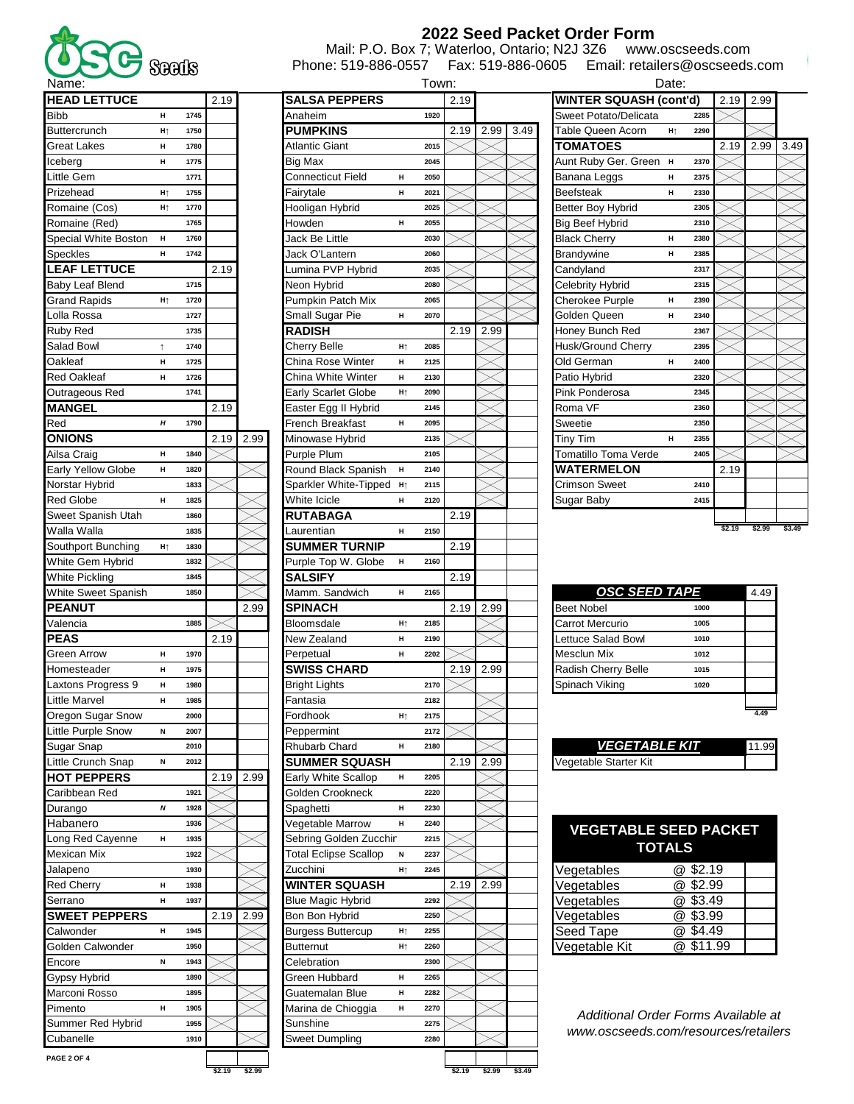

### **2022 Seed Packet Order Form**

Phone: 519-886-0557 Fax: 519-886-0605 Email: retailers@oscseeds.com Mail: P.O. Box 7; Waterloo, Ontario; N2J 3Z6 www.oscseeds.com

| Name:                 |                |      |        |        |                              | Town:                  |        |        |        | Date:                                |           |        |        |        |
|-----------------------|----------------|------|--------|--------|------------------------------|------------------------|--------|--------|--------|--------------------------------------|-----------|--------|--------|--------|
| <b>HEAD LETTUCE</b>   |                |      | 2.19   |        | <b>SALSA PEPPERS</b>         |                        | 2.19   |        |        | <b>WINTER SQUASH (cont'd)</b>        |           | 2.19   | 2.99   |        |
| Bibb                  | н              | 1745 |        |        | Anaheim                      | 1920                   |        |        |        | Sweet Potato/Delicata                | 2285      |        |        |        |
| <b>Buttercrunch</b>   | H <sub>1</sub> | 1750 |        |        | <b>PUMPKINS</b>              |                        | 2.19   | 2.99   | 3.49   | Table Queen Acorn<br>H <sub>1</sub>  | 2290      |        |        |        |
| Great Lakes           | н              | 1780 |        |        | Atlantic Giant               | 2015                   |        |        |        | <b>TOMATOES</b>                      |           | 2.19   | 2.99   | 3.49   |
| Iceberg               | н              | 1775 |        |        | Big Max                      | 2045                   |        |        |        | Aunt Ruby Ger. Green H               | 2370      |        |        |        |
| Little Gem            |                | 1771 |        |        | <b>Connecticut Field</b>     | н<br>2050              |        |        |        | Banana Leggs<br>н                    | 2375      |        |        |        |
| Prizehead             | H <sub>↑</sub> | 1755 |        |        | Fairytale                    | н<br>2021              |        |        |        | Beefsteak<br>н                       | 2330      |        |        |        |
| Romaine (Cos)         | H <sub>↑</sub> | 1770 |        |        | Hooligan Hybrid              | 2025                   |        |        |        | Better Boy Hybrid                    | 2305      |        |        |        |
| Romaine (Red)         |                | 1765 |        |        | Howden                       | н<br>2055              |        |        |        | <b>Big Beef Hybrid</b>               | 2310      |        |        |        |
| Special White Boston  | н              | 1760 |        |        | Jack Be Little               | 2030                   |        |        |        | <b>Black Cherry</b><br>н             | 2380      |        |        |        |
| Speckles              | н              | 1742 |        |        | Jack O'Lantern               | 2060                   |        |        |        | <b>Brandywine</b><br>н               | 2385      |        |        |        |
| <b>LEAF LETTUCE</b>   |                |      | 2.19   |        | Lumina PVP Hybrid            | 2035                   |        |        |        | Candyland                            | 2317      |        |        |        |
| Baby Leaf Blend       |                | 1715 |        |        | Neon Hybrid                  | 2080                   |        |        |        | Celebrity Hybrid                     | 2315      |        |        |        |
| Grand Rapids          | H              | 1720 |        |        | Pumpkin Patch Mix            | 2065                   |        |        |        | <b>Cherokee Purple</b><br>н          | 2390      |        |        |        |
| Lolla Rossa           |                | 1727 |        |        | Small Sugar Pie              | н<br>2070              |        |        |        | Golden Queen<br>н                    | 2340      |        |        |        |
| Ruby Red              |                | 1735 |        |        | <b>RADISH</b>                |                        | 2.19   | 2.99   |        | Honey Bunch Red                      | 2367      |        |        |        |
| Salad Bowl            | Ť.             | 1740 |        |        | <b>Cherry Belle</b>          | H <sub>Ť</sub><br>2085 |        |        |        | Husk/Ground Cherry                   | 2395      |        |        |        |
| Oakleaf               | н              | 1725 |        |        | China Rose Winter            | н<br>2125              |        |        |        | Old German<br>н                      | 2400      |        |        |        |
| <b>Red Oakleaf</b>    | н              | 1726 |        |        | China White Winter           | н<br>2130              |        |        |        | Patio Hybrid                         | 2320      |        |        |        |
| Outrageous Red        |                | 1741 |        |        | Early Scarlet Globe          | 2090<br>Ht             |        |        |        | Pink Ponderosa                       | 2345      |        |        |        |
| <b>MANGEL</b>         |                |      | 2.19   |        | Easter Egg II Hybrid         | 2145                   |        |        |        | Roma VF                              | 2360      |        |        |        |
| Red                   | н              | 1790 |        |        | French Breakfast             | н<br>2095              |        |        |        | Sweetie                              | 2350      |        |        |        |
| <b>ONIONS</b>         |                |      | 2.19   | 2.99   | Minowase Hybrid              | 2135                   |        |        |        | Tiny Tim<br>н                        | 2355      |        |        |        |
| Ailsa Craig           | н              | 1840 |        |        | Purple Plum                  | 2105                   |        |        |        | Tomatillo Toma Verde                 | 2405      |        |        |        |
| Early Yellow Globe    | н              | 1820 |        |        | Round Black Spanish          | 2140<br>H              |        |        |        | WATERMELON                           |           | 2.19   |        |        |
| Norstar Hybrid        |                | 1833 |        |        | Sparkler White-Tipped н      | 2115                   |        |        |        | <b>Crimson Sweet</b>                 | 2410      |        |        |        |
| <b>Red Globe</b>      | н              | 1825 |        |        | White Icicle                 | н<br>2120              |        |        |        | Sugar Baby                           | 2415      |        |        |        |
| Sweet Spanish Utah    |                | 1860 |        |        | RUTABAGA                     |                        | 2.19   |        |        |                                      |           |        |        |        |
| Walla Walla           |                | 1835 |        |        | Laurentian                   | н<br>2150              |        |        |        |                                      |           | \$2.19 | \$2.99 | \$3.49 |
| Southport Bunching    | H              | 1830 |        |        | <b>SUMMER TURNIP</b>         |                        | 2.19   |        |        |                                      |           |        |        |        |
| White Gem Hybrid      |                | 1832 |        |        | Purple Top W. Globe          | н<br>2160              |        |        |        |                                      |           |        |        |        |
| <b>White Pickling</b> |                | 1845 |        |        | <b>SALSIFY</b>               |                        | 2.19   |        |        |                                      |           |        |        |        |
| White Sweet Spanish   |                | 1850 |        |        | Mamm. Sandwich               | 2165<br>н              |        |        |        | <b>OSC SEED TAPE</b>                 |           |        | 4.49   |        |
| <b>PEANUT</b>         |                |      |        | 2.99   | <b>SPINACH</b>               |                        | 2.19   | 2.99   |        | <b>Beet Nobel</b>                    | 1000      |        |        |        |
| Valencia              |                | 1885 |        |        | Bloomsdale                   | H <sub>1</sub><br>2185 |        |        |        | Carrot Mercurio                      | 1005      |        |        |        |
| <b>PEAS</b>           |                |      | 2.19   |        | New Zealand                  | н<br>2190              |        |        |        | Lettuce Salad Bowl                   | 1010      |        |        |        |
| Green Arrow           | н              | 1970 |        |        | Perpetual                    | н<br>2202              |        |        |        | Mesclun Mix                          | 1012      |        |        |        |
| Homesteader           | н              | 1975 |        |        | <b>SWISS CHARD</b>           |                        | 2.19   | 2.99   |        | Radish Cherry Belle                  | 1015      |        |        |        |
| Laxtons Progress 9    | н              | 1980 |        |        | Bright Lights                | 2170                   |        |        |        | Spinach Viking                       | 1020      |        |        |        |
| Little Marvel         | н              | 1985 |        |        | Fantasia                     | 2182                   |        |        |        |                                      |           |        |        |        |
| Oregon Sugar Snow     |                | 2000 |        |        | Fordhook                     | H <sub>1</sub><br>2175 |        |        |        |                                      |           |        | 4.49   |        |
| Little Purple Snow    | N              | 2007 |        |        | Peppermint                   | 2172                   |        |        |        |                                      |           |        |        |        |
| Sugar Snap            |                | 2010 |        |        | Rhubarb Chard                | н<br>2180              |        |        |        | <b>VEGETABLE KIT</b>                 |           |        | 11.99  |        |
| Little Crunch Snap    | N              | 2012 |        |        | <b>SUMMER SQUASH</b>         |                        | 2.19   | 2.99   |        | Vegetable Starter Kit                |           |        |        |        |
| <b>HOT PEPPERS</b>    |                |      | 2.19   | 2.99   | Early White Scallop          | н<br>2205              |        |        |        |                                      |           |        |        |        |
| Caribbean Red         |                | 1921 |        |        | Golden Crookneck             | 2220                   |        |        |        |                                      |           |        |        |        |
| Durango               | N              | 1928 |        |        | Spaghetti                    | н<br>2230              |        |        |        |                                      |           |        |        |        |
| Habanero              |                | 1936 |        |        | Vegetable Marrow             | н<br>2240              |        |        |        | <b>VEGETABLE SEED PACKET</b>         |           |        |        |        |
| Long Red Cayenne      | н              | 1935 |        |        | Sebring Golden Zucchin       | 2215                   |        |        |        |                                      |           |        |        |        |
| Mexican Mix           |                | 1922 |        |        | <b>Total Eclipse Scallop</b> | 2237<br>N              |        |        |        | <b>TOTALS</b>                        |           |        |        |        |
| Jalapeno              |                | 1930 |        |        | Zucchini                     | 2245<br>H              |        |        |        | Vegetables                           | @ \$2.19  |        |        |        |
| <b>Red Cherry</b>     | н              | 1938 |        |        | <b>WINTER SQUASH</b>         |                        | 2.19   | 2.99   |        | Vegetables                           | @ \$2.99  |        |        |        |
| Serrano               | н              | 1937 |        |        | <b>Blue Magic Hybrid</b>     | 2292                   |        |        |        | Vegetables                           | @ \$3.49  |        |        |        |
| <b>SWEET PEPPERS</b>  |                |      | 2.19   | 2.99   | Bon Bon Hybrid               | 2250                   |        |        |        | Vegetables                           | @ \$3.99  |        |        |        |
| Calwonder             | н              | 1945 |        |        | <b>Burgess Buttercup</b>     | 2255<br>H              |        |        |        | Seed Tape                            | @ \$4.49  |        |        |        |
| Golden Calwonder      |                | 1950 |        |        | Butternut                    | H<br>2260              |        |        |        | Vegetable Kit                        | @ \$11.99 |        |        |        |
| Encore                | N              | 1943 |        |        | Celebration                  | 2300                   |        |        |        |                                      |           |        |        |        |
| Gypsy Hybrid          |                | 1890 |        |        | Green Hubbard                | н<br>2265              |        |        |        |                                      |           |        |        |        |
| Marconi Rosso         |                | 1895 |        |        | Guatemalan Blue              | н<br>2282              |        |        |        |                                      |           |        |        |        |
| Pimento               | н              | 1905 |        |        | Marina de Chioggia           | н<br>2270              |        |        |        |                                      |           |        |        |        |
| Summer Red Hybrid     |                | 1955 |        |        | Sunshine                     | 2275                   |        |        |        | Additional Order Forms Available at  |           |        |        |        |
| Cubanelle             |                | 1910 |        |        | Sweet Dumpling               | 2280                   |        |        |        | www.oscseeds.com/resources/retailers |           |        |        |        |
| PAGE 2 OF 4           |                |      |        |        |                              |                        |        |        |        |                                      |           |        |        |        |
|                       |                |      | \$2.19 | \$2.99 |                              |                        | \$2.19 | \$2.99 | \$3.49 |                                      |           |        |        |        |

|                               | Date:          |      |      |      |      |
|-------------------------------|----------------|------|------|------|------|
| <b>WINTER SQUASH (cont'd)</b> |                |      | 2.19 | 2.99 |      |
| Sweet Potato/Delicata         |                | 2285 |      |      |      |
| <b>Table Queen Acorn</b>      | H <sub>1</sub> | 2290 |      |      |      |
| <b>TOMATOES</b>               |                |      | 2.19 | 2.99 | 3.49 |
| Aunt Ruby Ger. Green          | н              | 2370 |      |      |      |
| Banana Leggs                  | н              | 2375 |      |      |      |
| <b>Beefsteak</b>              | н              | 2330 |      |      |      |
| Better Boy Hybrid             |                | 2305 |      |      |      |
| <b>Big Beef Hybrid</b>        |                | 2310 |      |      |      |
| <b>Black Cherry</b>           | н              | 2380 |      |      |      |
| Brandywine                    | н              | 2385 |      |      |      |
| Candyland                     |                | 2317 |      |      |      |
| <b>Celebrity Hybrid</b>       |                | 2315 |      |      |      |
| <b>Cherokee Purple</b>        | н              | 2390 |      |      |      |
| Golden Queen                  | н              | 2340 |      |      |      |
| Honey Bunch Red               |                | 2367 |      |      |      |
| Husk/Ground Cherry            |                | 2395 |      |      |      |
| Old German                    | н              | 2400 |      |      |      |
| Patio Hybrid                  |                | 2320 |      |      |      |
| Pink Ponderosa                |                | 2345 |      |      |      |
| Roma VF                       |                | 2360 |      |      |      |
| Sweetie                       |                | 2350 |      |      |      |
| <b>Tiny Tim</b>               | н              | 2355 |      |      |      |
| Tomatillo Toma Verde          |                | 2405 |      |      |      |
| <b>WATERMELON</b>             |                |      | 2.19 |      |      |
| <b>Crimson Sweet</b>          |                | 2410 |      |      |      |
| Sugar Baby                    |                | 2415 |      |      |      |
|                               |                |      |      |      |      |

| OSC SEED TAPE          |      |  |  |  |  |  |  |  |  |  |
|------------------------|------|--|--|--|--|--|--|--|--|--|
| <b>Beet Nobel</b>      | 1000 |  |  |  |  |  |  |  |  |  |
| <b>Carrot Mercurio</b> | 1005 |  |  |  |  |  |  |  |  |  |
| Lettuce Salad Bowl     | 1010 |  |  |  |  |  |  |  |  |  |
| <b>Mesclun Mix</b>     | 1012 |  |  |  |  |  |  |  |  |  |
| Radish Cherry Belle    | 1015 |  |  |  |  |  |  |  |  |  |
| Spinach Viking         | 1020 |  |  |  |  |  |  |  |  |  |
|                        |      |  |  |  |  |  |  |  |  |  |

| <i><b>VEGETABLE KIT</b></i> | 11.99 |
|-----------------------------|-------|
| egetable Starter Kit        |       |

|                  | <b>VEGETABLE SEED PACKET</b><br><b>TOTALS</b> |  |
|------------------|-----------------------------------------------|--|
| Vegetables       | @ \$2.19                                      |  |
| Vegetables       | @ \$2.99                                      |  |
| Vegetables       | @ \$3.49                                      |  |
| Vegetables       | @ \$3.99                                      |  |
| <b>Seed Tape</b> | @54.49                                        |  |
| Vegetable Kit    | @ \$11.99                                     |  |

**PAGE 2 OF 4**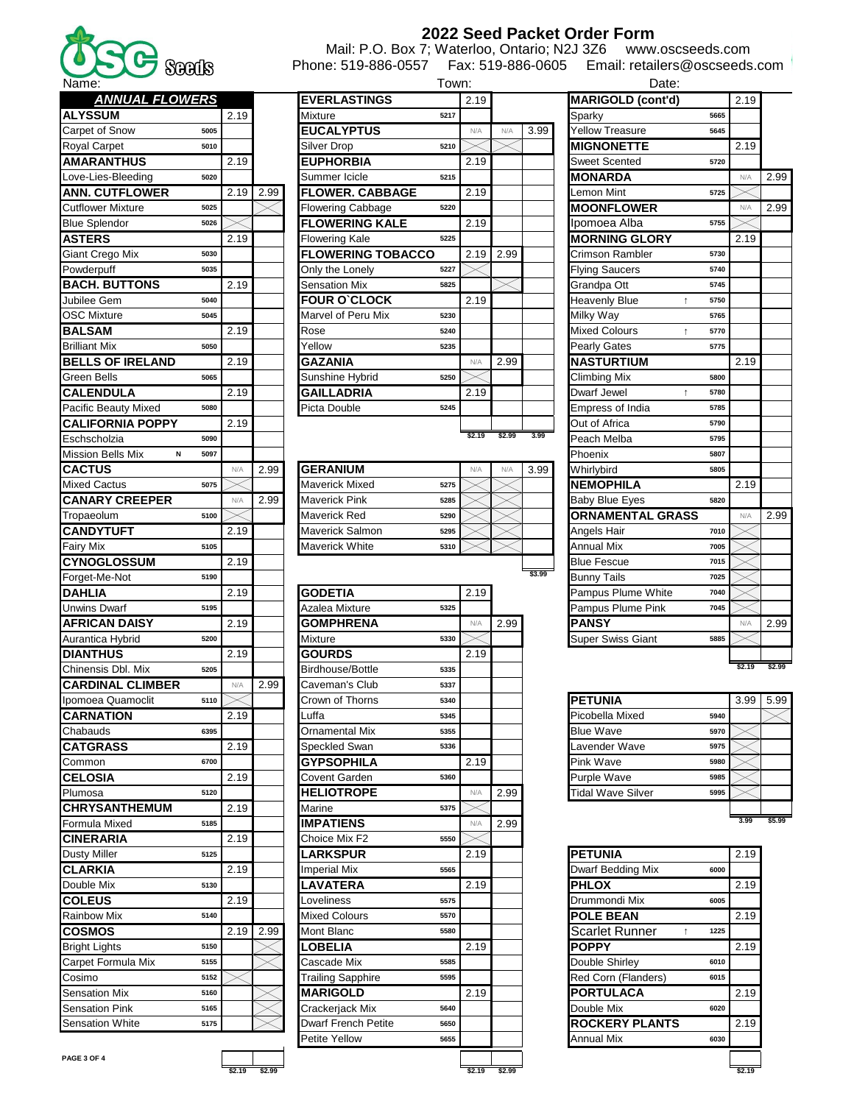# Soods

# **2022 Seed Packet Order Form**

Mail: P.O. Box 7; Waterloo, Ontario; N2J 3Z6 www.oscseeds.com Phone: 519-886-0557 Fax: 519-886-0605 Email: retailers@oscseeds.com

| <b>ANNUAL FLOWERS</b>                    |      |      |      | <b>EVERLASTINGS</b>             |      | 2.19   |        |        | <b>MARIGOLD (cont'd)</b>           |      |
|------------------------------------------|------|------|------|---------------------------------|------|--------|--------|--------|------------------------------------|------|
| <b>ALYSSUM</b>                           |      | 2.19 |      | Mixture                         | 5217 |        |        |        | Sparky                             | 5665 |
|                                          | 5005 |      |      | <b>EUCALYPTUS</b>               |      | N/A    | N/A    | 3.99   | <b>Yellow Treasure</b>             | 5645 |
| Carpet of Snow                           | 5010 |      |      |                                 | 5210 |        |        |        | <b>MIGNONETTE</b>                  |      |
| <b>Royal Carpet</b><br><b>AMARANTHUS</b> |      | 2.19 |      | Silver Drop<br><b>EUPHORBIA</b> |      | 2.19   |        |        | <b>Sweet Scented</b>               | 5720 |
| Love-Lies-Bleeding                       | 5020 |      |      | Summer Icicle                   | 5215 |        |        |        | <b>MONARDA</b>                     |      |
| <b>ANN. CUTFLOWER</b>                    |      | 2.19 | 2.99 | <b>FLOWER. CABBAGE</b>          |      | 2.19   |        |        | Lemon Mint                         | 5725 |
| <b>Cutflower Mixture</b>                 | 5025 |      |      | Flowering Cabbage               | 5220 |        |        |        | <b>IMOONFLOWER</b>                 |      |
| <b>Blue Splendor</b>                     | 5026 |      |      | <b>FLOWERING KALE</b>           |      | 2.19   |        |        | Ipomoea Alba                       | 5755 |
| <b>ASTERS</b>                            |      | 2.19 |      | <b>Flowering Kale</b>           | 5225 |        |        |        | <b>MORNING GLORY</b>               |      |
| Giant Crego Mix                          | 5030 |      |      | <b>FLOWERING TOBACCO</b>        |      | 2.19   | 2.99   |        | <b>Crimson Rambler</b>             | 5730 |
| Powderpuff                               | 5035 |      |      | Only the Lonely                 | 5227 |        |        |        | <b>Flying Saucers</b>              | 5740 |
| <b>BACH. BUTTONS</b>                     |      | 2.19 |      | <b>Sensation Mix</b>            | 5825 |        |        |        | Grandpa Ott                        | 5745 |
| Jubilee Gem                              | 5040 |      |      | <b>FOUR O'CLOCK</b>             |      | 2.19   |        |        | Heavenly Blue                      | 5750 |
| <b>OSC Mixture</b>                       | 5045 |      |      | Marvel of Peru Mix              | 5230 |        |        |        | Milky Way                          | 5765 |
| <b>BALSAM</b>                            |      | 2.19 |      | Rose                            | 5240 |        |        |        | <b>Mixed Colours</b><br>$\uparrow$ | 5770 |
| <b>Brilliant Mix</b>                     | 5050 |      |      | Yellow                          | 5235 |        |        |        | <b>Pearly Gates</b>                | 5775 |
| <b>BELLS OF IRELAND</b>                  |      | 2.19 |      | <b>GAZANIA</b>                  |      | N/A    | 2.99   |        | <b>NASTURTIUM</b>                  |      |
| Green Bells                              | 5065 |      |      | Sunshine Hybrid                 | 5250 |        |        |        | <b>Climbing Mix</b>                | 5800 |
| <b>CALENDULA</b>                         |      | 2.19 |      | <b>GAILLADRIA</b>               |      | 2.19   |        |        | Dwarf Jewel<br>$\uparrow$          | 5780 |
| Pacific Beauty Mixed                     | 5080 |      |      | Picta Double                    | 5245 |        |        |        | Empress of India                   | 5785 |
| <b>CALIFORNIA POPPY</b>                  |      | 2.19 |      |                                 |      |        |        |        | Out of Africa                      | 5790 |
| Eschscholzia                             | 5090 |      |      |                                 |      | \$2.19 | \$2.99 | 3.99   | Peach Melba                        | 5795 |
| <b>Mission Bells Mix</b><br>N            | 5097 |      |      |                                 |      |        |        |        | Phoenix                            | 5807 |
| <b>CACTUS</b>                            |      | N/A  | 2.99 | <b>GERANIUM</b>                 |      | N/A    | N/A    | 3.99   | Whirlybird                         | 5805 |
| <b>Mixed Cactus</b>                      | 5075 |      |      | <b>Maverick Mixed</b>           | 5275 |        |        |        | <b>NEMOPHILA</b>                   |      |
| <b>CANARY CREEPER</b>                    |      | N/A  | 2.99 | <b>Maverick Pink</b>            | 5285 |        |        |        | <b>Baby Blue Eyes</b>              | 5820 |
| Tropaeolum                               | 5100 |      |      | <b>Maverick Red</b>             | 5290 |        |        |        | <b>ORNAMENTAL GRASS</b>            |      |
| <b>CANDYTUFT</b>                         |      | 2.19 |      | Maverick Salmon                 | 5295 |        |        |        | Angels Hair                        | 7010 |
| Fairy Mix                                | 5105 |      |      | <b>Maverick White</b>           | 5310 |        |        |        | Annual Mix                         | 7005 |
| <b>CYNOGLOSSUM</b>                       |      | 2.19 |      |                                 |      |        |        |        | <b>Blue Fescue</b>                 | 7015 |
| Forget-Me-Not                            | 5190 |      |      |                                 |      |        |        | \$3.99 | <b>Bunny Tails</b>                 | 7025 |
| DAHLIA                                   |      | 2.19 |      | <b>GODETIA</b>                  |      | 2.19   |        |        | Pampus Plume White                 | 7040 |
| Unwins Dwarf                             | 5195 |      |      | Azalea Mixture                  | 5325 |        |        |        | Pampus Plume Pink                  | 7045 |
| <b>AFRICAN DAISY</b>                     |      | 2.19 |      | <b>GOMPHRENA</b>                |      | N/A    | 2.99   |        | <b>PANSY</b>                       |      |
| Aurantica Hybrid                         | 5200 |      |      | <b>Mixture</b>                  | 5330 |        |        |        | <b>Super Swiss Giant</b>           | 5885 |
| <b>DIANTHUS</b>                          |      | 2.19 |      | <b>GOURDS</b>                   |      | 2.19   |        |        |                                    |      |
| Chinensis Dbl. Mix                       | 5205 |      |      | Birdhouse/Bottle                | 5335 |        |        |        |                                    |      |
| <b>CARDINAL CLIMBER</b>                  |      | N/A  | 2.99 | Caveman's Club                  | 5337 |        |        |        |                                    |      |
| Ipomoea Quamoclit                        | 5110 |      |      | Crown of Thorns                 | 5340 |        |        |        | <b>PETUNIA</b>                     |      |
| <b>CARNATION</b>                         |      | 2.19 |      | Luffa                           | 5345 |        |        |        | Picobella Mixed                    | 5940 |
| Chabauds                                 | 6395 |      |      | Ornamental Mix                  | 5355 |        |        |        | <b>Blue Wave</b>                   | 5970 |
| <b>CATGRASS</b>                          |      | 2.19 |      | Speckled Swan                   | 5336 |        |        |        | Lavender Wave                      | 5975 |
| Common                                   | 6700 |      |      | GYPSOPHILA                      |      | 2.19   |        |        | Pink Wave                          | 5980 |
| <b>CELOSIA</b>                           |      | 2.19 |      | Covent Garden                   | 5360 |        |        |        | <b>Purple Wave</b>                 | 5985 |
| Plumosa                                  | 5120 |      |      | <b>HELIOTROPE</b>               |      | N/A    | 2.99   |        | <b>Tidal Wave Silver</b>           | 5995 |
| <b>CHRYSANTHEMUM</b>                     |      | 2.19 |      | Marine                          | 5375 |        |        |        |                                    |      |
| Formula Mixed                            | 5185 |      |      | <b>IMPATIENS</b>                |      | N/A    | 2.99   |        |                                    |      |
| CINERARIA                                |      | 2.19 |      | Choice Mix F2                   | 5550 |        |        |        |                                    |      |
| <b>Dusty Miller</b>                      | 5125 |      |      | <b>LARKSPUR</b>                 |      | 2.19   |        |        | PETUNIA                            |      |
| <b>CLARKIA</b>                           |      | 2.19 |      | <b>Imperial Mix</b>             | 5565 |        |        |        | <b>Dwarf Bedding Mix</b>           | 6000 |
| Double Mix                               | 5130 |      |      | AVATERA                         |      | 2.19   |        |        | <b>PHLOX</b>                       |      |
| <b>COLEUS</b>                            |      | 2.19 |      | _oveliness                      | 5575 |        |        |        | Drummondi Mix                      | 6005 |
| Rainbow Mix                              | 5140 |      |      | Mixed Colours                   | 5570 |        |        |        | <b>POLE BEAN</b>                   |      |
| <b>COSMOS</b>                            |      | 2.19 | 2.99 | Mont Blanc                      | 5580 |        |        |        | Scarlet Runner                     | 1225 |
| Bright Lights                            | 5150 |      |      | <b>LOBELIA</b>                  |      | 2.19   |        |        | <b>POPPY</b>                       |      |
| Carpet Formula Mix                       | 5155 |      |      | Cascade Mix                     | 5585 |        |        |        | Double Shirley                     | 6010 |
| Cosimo                                   | 5152 |      |      | <b>Trailing Sapphire</b>        | 5595 |        |        |        | Red Corn (Flanders)                | 6015 |
| Sensation Mix                            | 5160 |      |      | <b>MARIGOLD</b>                 |      | 2.19   |        |        | <b> PORTULACA</b>                  |      |
| <b>Sensation Pink</b>                    | 5165 |      |      | Crackerjack Mix                 | 5640 |        |        |        | Double Mix                         | 6020 |
| <b>Sensation White</b>                   | 5175 |      |      | Dwarf French Petite             | 5650 |        |        |        | <b>ROCKERY PLANTS</b>              |      |

| Name:                    |      |      |      | Date:                    |      |      |      |      |                          |      |      |      |
|--------------------------|------|------|------|--------------------------|------|------|------|------|--------------------------|------|------|------|
| <b>ANNUAL FLOWERS</b>    |      |      |      | <b>EVERLASTINGS</b>      |      | 2.19 |      |      | <b>MARIGOLD (cont'd)</b> |      | 2.19 |      |
| <b>ALYSSUM</b>           |      | 2.19 |      | Mixture                  | 5217 |      |      |      | Sparky                   | 5665 |      |      |
| Carpet of Snow           | 5005 |      |      | <b>EUCALYPTUS</b>        |      | N/A  | N/A  | 3.99 | <b>Yellow Treasure</b>   | 5645 |      |      |
| Royal Carpet             | 5010 |      |      | Silver Drop              | 5210 |      |      |      | <b>MIGNONETTE</b>        |      | 2.19 |      |
| <b>AMARANTHUS</b>        |      | 2.19 |      | <b>EUPHORBIA</b>         |      | 2.19 |      |      | <b>Sweet Scented</b>     | 5720 |      |      |
| Love-Lies-Bleeding       | 5020 |      |      | Summer Icicle            | 5215 |      |      |      | <b>MONARDA</b>           |      | N/A  | 2.99 |
| <b>ANN. CUTFLOWER</b>    |      | 2.19 | 2.99 | <b>FLOWER, CABBAGE</b>   |      | 2.19 |      |      | Lemon Mint               | 5725 |      |      |
| <b>Cutflower Mixture</b> | 5025 |      |      | <b>Flowering Cabbage</b> | 5220 |      |      |      | <b>MOONFLOWER</b>        |      | N/A  | 2.99 |
| <b>Blue Splendor</b>     | 5026 |      |      | <b>FLOWERING KALE</b>    |      | 2.19 |      |      | Ipomoea Alba             | 5755 |      |      |
| <b>ASTERS</b>            |      | 2.19 |      | <b>Flowering Kale</b>    | 5225 |      |      |      | <b>MORNING GLORY</b>     |      | 2.19 |      |
| Giant Crego Mix          | 5030 |      |      | <b>FLOWERING TOBACCO</b> |      | 2.19 | 2.99 |      | <b>Crimson Rambler</b>   | 5730 |      |      |
| Powderpuff               | 5035 |      |      | Only the Lonely          | 5227 |      |      |      | <b>Flying Saucers</b>    | 5740 |      |      |
| <b>BACH. BUTTONS</b>     |      | 2.19 |      | <b>Sensation Mix</b>     | 5825 |      |      |      | Grandpa Ott              | 5745 |      |      |
| Jubilee Gem              | 5040 |      |      | <b>FOUR O'CLOCK</b>      |      | 2.19 |      |      | <b>Heavenly Blue</b>     | 5750 |      |      |
| <b>OSC Mixture</b>       | 5045 |      |      | Marvel of Peru Mix       | 5230 |      |      |      | Milky Way                | 5765 |      |      |
| <b>BALSAM</b>            |      | 2.19 |      | Rose                     | 5240 |      |      |      | <b>Mixed Colours</b>     | 5770 |      |      |
| <b>Brilliant Mix</b>     | 5050 |      |      | Yellow                   | 5235 |      |      |      | <b>Pearly Gates</b>      | 5775 |      |      |
| <b>BELLS OF IRELAND</b>  |      | 2.19 |      | <b>GAZANIA</b>           |      | N/A  | 2.99 |      | <b>NASTURTIUM</b>        |      | 2.19 |      |
| Green Bells              | 5065 |      |      | Sunshine Hybrid          | 5250 |      |      |      | <b>Climbing Mix</b>      | 5800 |      |      |
| <b>CALENDULA</b>         |      | 2.19 |      | <b>GAILLADRIA</b>        |      | 2.19 |      |      | <b>Dwarf Jewel</b>       | 5780 |      |      |
| Pacific Beauty Mixed     | 5080 |      |      | Picta Double             | 5245 |      |      |      | <b>Empress of India</b>  | 5785 |      |      |
| <b>CALIFORNIA POPPY</b>  |      | 2.19 |      |                          |      |      |      |      | Out of Africa            | 5790 |      |      |
|                          |      |      |      |                          |      |      |      |      |                          |      |      |      |

| אוואו טווטטו וטוטטונ  | ---- |               |      |                       |      |     |     |      | אווושטוו וו              | ---- |      |      |
|-----------------------|------|---------------|------|-----------------------|------|-----|-----|------|--------------------------|------|------|------|
| <b>CACTUS</b>         |      | N/A           | 2.99 | <b>IGERANIUM</b>      |      | N/A | N/A | 3.99 | Whirlybird               | 5805 |      |      |
| Mixed Cactus          | 5075 |               |      | <b>Maverick Mixed</b> | 5275 |     |     |      | <b>INEMOPHILA</b>        |      | 2.19 |      |
| <b>CANARY CREEPER</b> |      | N/A           | 2.99 | <b>Maverick Pink</b>  | 5285 |     |     |      | <b>Baby Blue Eyes</b>    | 5820 |      |      |
| Tropaeolum            | 5100 |               |      | Maverick Red          | 5290 |     |     |      | <b>IORNAMENTAL GRASS</b> |      | N/F  | 2.99 |
| <b>CANDYTUFT</b>      |      | 2.19          |      | Maverick Salmon       | 5295 |     |     |      | Angels Hair              | 7010 |      |      |
| Fairy Mix             | 5105 |               |      | Maverick White        | 5310 |     |     |      | Annual Mix               | 7005 |      |      |
| A1111A11A11A111111    |      | $\sim$ $\sim$ |      |                       |      |     |     |      | . .                      |      |      |      |

| Forget-Me-Not           | 5190 |      |      |                            |      |      |      | <b>Bunny Lails</b>                  | 7025 |        |        |
|-------------------------|------|------|------|----------------------------|------|------|------|-------------------------------------|------|--------|--------|
| <b>DAHLIA</b>           |      | 2.19 |      | <b>GODETIA</b>             |      | 2.19 |      | Pampus Plume White                  | 7040 |        |        |
| <b>Unwins Dwarf</b>     | 5195 |      |      | Azalea Mixture             | 5325 |      |      | Pampus Plume Pink                   | 7045 |        |        |
| <b>AFRICAN DAISY</b>    |      | 2.19 |      | <b>GOMPHRENA</b>           |      | N/A  | 2.99 | <b>PANSY</b>                        |      | N/A    | 2.99   |
| Aurantica Hybrid        | 5200 |      |      | Mixture                    | 5330 |      |      | <b>Super Swiss Giant</b>            | 5885 |        |        |
| <b>DIANTHUS</b>         |      | 2.19 |      | <b>GOURDS</b>              |      | 2.19 |      |                                     |      |        |        |
| Chinensis Dbl. Mix      | 5205 |      |      | <b>Birdhouse/Bottle</b>    | 5335 |      |      |                                     |      | \$2.19 | \$2.99 |
| <b>CARDINAL CLIMBER</b> |      | N/A  | 2.99 | Caveman's Club             | 5337 |      |      |                                     |      |        |        |
| Ipomoea Quamoclit       | 5110 |      |      | Crown of Thorns            | 5340 |      |      | <b>PETUNIA</b>                      |      | 3.99   | 5.99   |
| <b>CARNATION</b>        |      | 2.19 |      | Luffa                      | 5345 |      |      | Picobella Mixed                     | 5940 |        |        |
| Chabauds                | 6395 |      |      | <b>Ornamental Mix</b>      | 5355 |      |      | <b>Blue Wave</b>                    | 5970 |        |        |
| <b>CATGRASS</b>         |      | 2.19 |      | Speckled Swan              | 5336 |      |      | Lavender Wave                       | 5975 |        |        |
| Common                  | 6700 |      |      | <b>GYPSOPHILA</b>          |      | 2.19 |      | Pink Wave                           | 5980 |        |        |
| <b>CELOSIA</b>          |      | 2.19 |      | <b>Covent Garden</b>       | 5360 |      |      | <b>Purple Wave</b>                  | 5985 |        |        |
| Plumosa                 | 5120 |      |      | <b>HELIOTROPE</b>          |      | N/A  | 2.99 | <b>Tidal Wave Silver</b>            | 5995 |        |        |
| <b>CHRYSANTHEMUM</b>    |      | 2.19 |      | Marine                     | 5375 |      |      |                                     |      |        |        |
| Formula Mixed           | 5185 |      |      | <b>IMPATIENS</b>           |      | N/A  | 2.99 |                                     |      | 3.99   | \$5.99 |
| <b>CINERARIA</b>        |      | 2.19 |      | Choice Mix F2              | 5550 |      |      |                                     |      |        |        |
| <b>Dusty Miller</b>     | 5125 |      |      | <b>LARKSPUR</b>            |      | 2.19 |      | <b>PETUNIA</b>                      |      | 2.19   |        |
| <b>CLARKIA</b>          |      | 2.19 |      | <b>Imperial Mix</b>        | 5565 |      |      | <b>Dwarf Bedding Mix</b>            | 6000 |        |        |
| Double Mix              | 5130 |      |      | LAVATERA                   |      | 2.19 |      | <b>PHLOX</b>                        |      | 2.19   |        |
| <b>COLEUS</b>           |      | 2.19 |      | Loveliness                 | 5575 |      |      | Drummondi Mix                       | 6005 |        |        |
| <b>Rainbow Mix</b>      | 5140 |      |      | <b>Mixed Colours</b>       | 5570 |      |      | <b>POLE BEAN</b>                    |      | 2.19   |        |
| <b>COSMOS</b>           |      | 2.19 | 2.99 | Mont Blanc                 | 5580 |      |      | <b>Scarlet Runner</b><br>$\uparrow$ | 1225 |        |        |
| <b>Bright Lights</b>    | 5150 |      |      | <b>LOBELIA</b>             |      | 2.19 |      | <b>POPPY</b>                        |      | 2.19   |        |
| Carpet Formula Mix      | 5155 |      |      | Cascade Mix                | 5585 |      |      | Double Shirley                      | 6010 |        |        |
| Cosimo                  | 5152 |      |      | <b>Trailing Sapphire</b>   | 5595 |      |      | Red Corn (Flanders)                 | 6015 |        |        |
| <b>Sensation Mix</b>    | 5160 |      |      | <b>MARIGOLD</b>            |      | 2.19 |      | <b>PORTULACA</b>                    |      | 2.19   |        |
| <b>Sensation Pink</b>   | 5165 |      |      | Crackerjack Mix            | 5640 |      |      | Double Mix                          | 6020 |        |        |
| <b>Sensation White</b>  | 5175 |      |      | <b>Dwarf French Petite</b> | 5650 |      |      | <b>ROCKERY PLANTS</b>               |      | 2.19   |        |
|                         |      |      |      | <b>Petite Yellow</b>       | 5655 |      |      | <b>Annual Mix</b>                   | 6030 |        |        |
| PAGE 3 OF 4             |      |      |      |                            |      |      |      |                                     |      |        |        |
|                         |      |      |      |                            |      |      |      |                                     |      |        |        |

| Date:                     |      |        |        |
|---------------------------|------|--------|--------|
| MARIGOLD (cont'd)         |      | 2.19   |        |
| Sparky                    | 5665 |        |        |
| Yellow Treasure           | 5645 |        |        |
| <b>MIGNONETTE</b>         |      | 2.19   |        |
| <b>Sweet Scented</b>      | 5720 |        |        |
| <b>MONARDA</b>            |      | N/A    | 2.99   |
| Lemon Mint                | 5725 |        |        |
| <b>MOONFLOWER</b>         |      | N/A    | 2.99   |
| Ipomoea Alba              | 5755 |        |        |
| <b>MORNING GLORY</b>      |      | 2.19   |        |
| Crimson Rambler           | 5730 |        |        |
| <b>Flying Saucers</b>     | 5740 |        |        |
| Grandpa Ott               | 5745 |        |        |
| <b>Heavenly Blue</b><br>Ť | 5750 |        |        |
| Milky Way                 | 5765 |        |        |
| <b>Mixed Colours</b><br>Ť | 5770 |        |        |
| <b>Pearly Gates</b>       | 5775 |        |        |
| <b>NASTURTIUM</b>         |      | 2.19   |        |
| <b>Climbing Mix</b>       | 5800 |        |        |
| <b>Dwarf Jewel</b><br>Ť   | 5780 |        |        |
| <b>Empress of India</b>   | 5785 |        |        |
| Out of Africa             | 5790 |        |        |
| Peach Melba               | 5795 |        |        |
| Phoenix                   | 5807 |        |        |
| Whirlybird                | 5805 |        |        |
| <b>NEMOPHILA</b>          |      | 2.19   |        |
| <b>Baby Blue Eyes</b>     | 5820 |        |        |
| <b>ORNAMENTAL GRASS</b>   |      | N/A    | 2.99   |
| Angels Hair               | 7010 |        |        |
| Annual Mix                | 7005 |        |        |
| <b>Blue Fescue</b>        | 7015 |        |        |
| <b>Bunny Tails</b>        | 7025 |        |        |
| Pampus Plume White        | 7040 |        |        |
| Pampus Plume Pink         | 7045 |        |        |
| <b>PANSY</b>              |      | N/A    | 2.99   |
| <b>Super Swiss Giant</b>  | 5885 |        |        |
|                           |      |        |        |
|                           |      | \$2.19 | \$2.99 |

| <b>PETUNIA</b>           |      | 3.99 | 5.99 |
|--------------------------|------|------|------|
| Picobella Mixed          | 5940 |      |      |
| <b>Blue Wave</b>         | 5970 |      |      |
| Lavender Wave            | 5975 |      |      |
| <b>Pink Wave</b>         | 5980 |      |      |
| <b>Purple Wave</b>       | 5985 |      |      |
| <b>Tidal Wave Silver</b> | 5995 |      |      |
|                          |      |      |      |

| <b>PETUNIA</b>        |      | 2.19 |
|-----------------------|------|------|
| Dwarf Bedding Mix     | 6000 |      |
| <b>PHLOX</b>          |      | 2.19 |
| Drummondi Mix         | 6005 |      |
| <b>POLE BEAN</b>      |      | 2.19 |
| Scarlet Runner        | 1225 |      |
| <b>POPPY</b>          |      | 2.19 |
| Double Shirley        | 6010 |      |
| Red Corn (Flanders)   | 6015 |      |
| <b>PORTULACA</b>      |      | 2.19 |
| Double Mix            | 6020 |      |
| <b>ROCKERY PLANTS</b> |      | 2.19 |
| <b>Annual Mix</b>     | 6030 |      |
|                       |      |      |

**PAGE 3 OF 4**

**\$2.19 \$2.99 \$2.19 \$2.99 \$2.19**